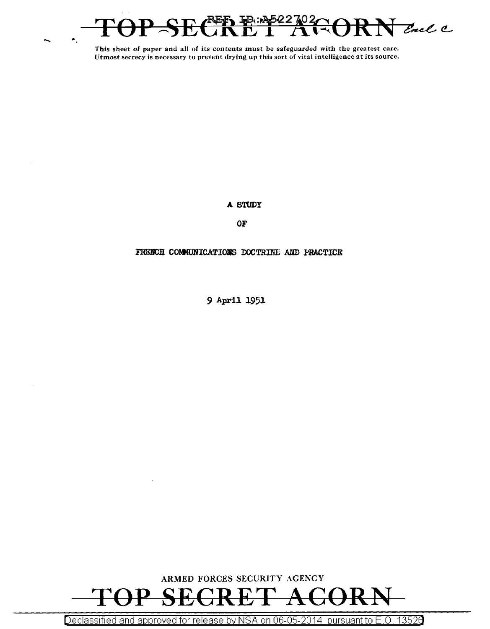

**A STUDY** 

**OF** 

# FRENCH COMMUNICATIONS DOCTRINE AND PRACTICE

*9* **Apr1.l. l95l.** 



Declassified and approved for release by NSA on 06-05-2014 pursuant to E.O. 13526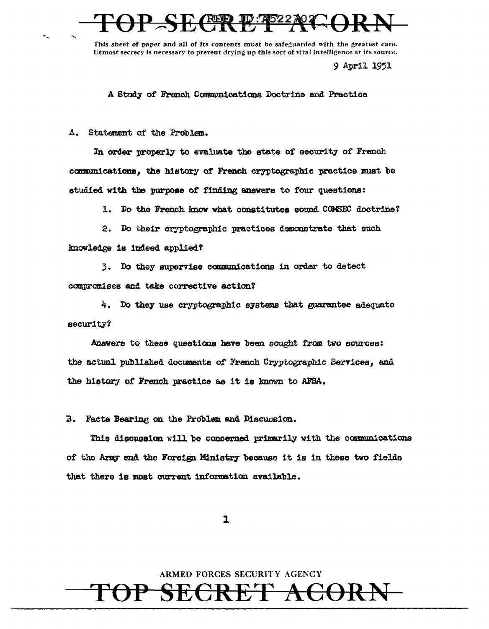# **REP**

This sheet of paper and all of its contents must be safeguarded with the greatest care. Utmost secrecy is necessary to prevent drying up this sort of vital intelligence at its source.

9 April 1951

A Study of French Communications Doctrine and Practice

A. Statement of the Problem.

In order properly to evaluate the state of security of French communications, the history of French cryptographic practice must be studied with the purpose of finding answers to four questions:

1. Do the French know what constitutes sound COMSEC doctrine?

2. Do their cryptographic practices demonstrate that such knowledge is indeed applied?

3. Do they supervise communications in order to detect compromises and take corrective action?

4. Do they use cryptographic systems that guarantee adequate security?

Answers to these questions have been sought from two sources: the actual published documents of French Cryptographic Services, and the history of French practice as it is known to AFSA.

B. Facts Bearing on the Problem and Discussion.

This discussion will be concerned primarily with the communications of the Army and the Foreign Ministry because it is in these two fields that there is most current information available.

 $\mathbf{I}$ 

ARMED FORCES SECURITY AGENCY

ECRET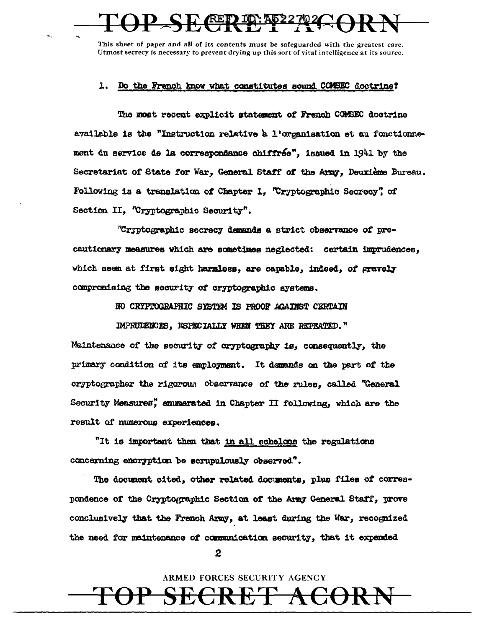# <u>квр др</u>

This sheet of paper and all of its contents must be safeguarded with the greatest care. Utmost secrecy is necessary to prevent drying up this sort of vital intelligence at its source.

## 1. Do the French know what constitutes sound COMSEC doctrine?

The most recent explicit statement of French COMSBC doctrine available is the "Instruction relative a l'organisation et au fonctionnement du service de la correspondance chiffrée", issued in 1941 by the Secretariat of State for War, General Staff of the Army, Deuxième Bureau. Following is a translation of Chapter 1, "Cryptographic Secrecy" of Section II. "Cryptographic Security".

"Cryptographic secrecy demands a strict observance of precautionary measures which are sometimes neglected: certain imprudences. which seem at first sight harmless, are capable, indeed, of gravely compromising the security of cryptographic systems.

NO CRYPTOGRAPHIC SYSTEM IS PROOF AGAINST CERTAIN

IMPRUDENCES, ESPECIALLY WHEN THEY ARE REPEATED."

Maintenance of the security of cryptography is, consequently, the primary condition of its employment. It demands on the part of the cryptographer the rigorous observance of the rules, called "General Security Measures", enumerated in Chapter II following, which are the result of numerous experiences.

"It is important then that in all echelons the regulations concerning encryption be scrupulously observed".

The document cited, other related documents, plus files of correspondence of the Cryptographic Section of the Army General Staff, prove conclusively that the Franch Army, at least during the War, recognized the need for maintenance of communication security, that it expended

2

ARMED FORCES SECURITY AGENCY

 $\bf{H}$ 

ヸ

<del>ACOR</del>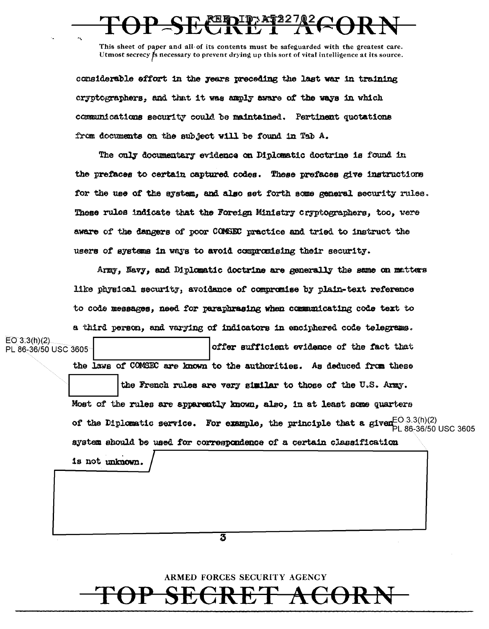# PSECIPER COOP

This sheet of paper and all of its contents must be safeguarded with the greatest care. Utmost secrecy  $\sharp$ s necessary to prevent drying up this sort of vital intelligence at its source.

considerable effort in the years preceding the last war in training cryptographers, and that it was amply aware of the ways in which communications security could be maintained. Pertinent quotations from documents on the subject will be found in Tab A.

The only documentary evidence on Diplomatic doctrine is found in the prefaces to certain captured codes. These prefaces give instructions for the use of the system, and also set forth some general security rules. These rules indicate that the Foreign Ministry cryptographers, too, were aware of the dangers of poor COMSEC practice and tried to instruct the users of systems in ways to avoid commonising their security.

Army, Navy, and Diplomatic doctrine are generally the same on matters like physical security, avoidance of compromise by plain-text reference to code messages, need for paraphrasing when communicating code text to

|                                          | a third person, and varying of indicators in enciphered code telegrams.                                                                                                                                                            |  |  |  |  |  |
|------------------------------------------|------------------------------------------------------------------------------------------------------------------------------------------------------------------------------------------------------------------------------------|--|--|--|--|--|
| $EO 3.3(h)(2)$ .<br>PL 86-36/50 USC 3605 | offer sufficient evidence of the fact that                                                                                                                                                                                         |  |  |  |  |  |
|                                          | the laws of COMSEC are known to the authorities. As deduced from these                                                                                                                                                             |  |  |  |  |  |
|                                          | the French rules are very similar to those of the U.S. Army.                                                                                                                                                                       |  |  |  |  |  |
|                                          | Most of the rules are apparently known, also, in at least some quarters                                                                                                                                                            |  |  |  |  |  |
|                                          | of the Diplomatic service. For example, the principle that a given $\mathbb{P}^{C \setminus 3.3(h)(2)}$ energy of the $\mathbb{P}^{C \setminus 3.3(h)(2)}$<br>system should be used for correspondence of a certain classification |  |  |  |  |  |
|                                          |                                                                                                                                                                                                                                    |  |  |  |  |  |
|                                          | is not unknown.                                                                                                                                                                                                                    |  |  |  |  |  |
|                                          |                                                                                                                                                                                                                                    |  |  |  |  |  |
|                                          |                                                                                                                                                                                                                                    |  |  |  |  |  |
|                                          |                                                                                                                                                                                                                                    |  |  |  |  |  |
|                                          | 3                                                                                                                                                                                                                                  |  |  |  |  |  |
|                                          |                                                                                                                                                                                                                                    |  |  |  |  |  |
|                                          | ARMED FORCES SECURITY AGENCY                                                                                                                                                                                                       |  |  |  |  |  |
|                                          |                                                                                                                                                                                                                                    |  |  |  |  |  |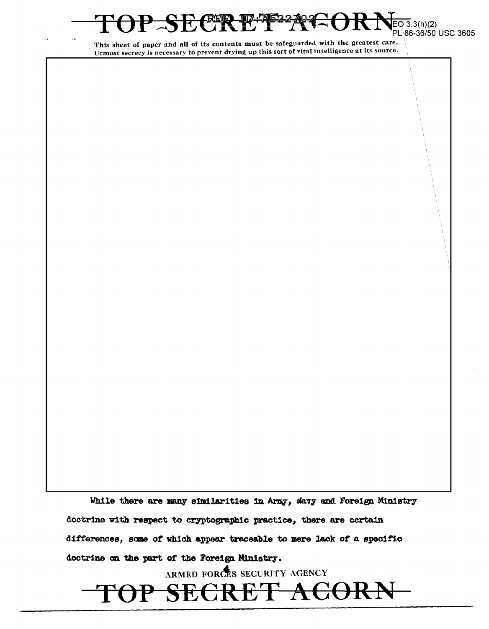REE  $3.3(h)(2)$ PL 86-36/50 USC 3605

This sheet of paper and all of its contents must be safeguarded with the greatest care. Utmost secrecy is necessary to prevent drying up this sort of vital intelligence at its source.

While there are many similarities in Army, Navy and Foreign Ministry doctrine with respect to cryptographic practice, there are certain differences, some of which appear traceable to mere lack of a specific doctrine on the part of the Foreign Ministry.

ARMED FORCES SECURITY AGENCY

E<del>CRET ACORN</del>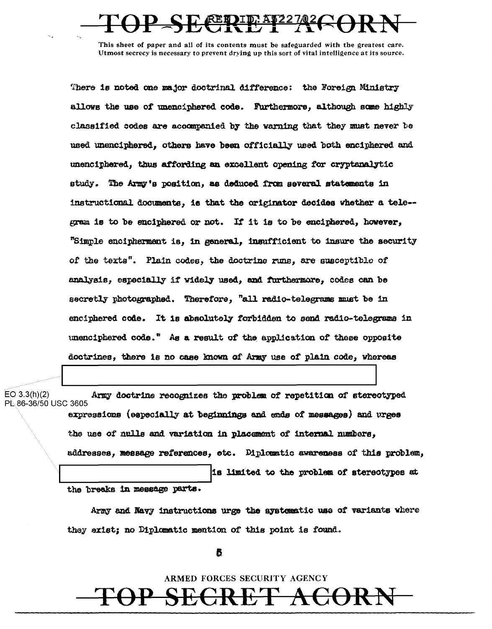# FET 17

This sheet of paper and all of its contents must be safeguarded with the greatest care. Utmost secrecy is necessary to prevent drying up this sort of vital intelligence at its source.

There is noted one major doctrinal difference: the Foreign Ministry allows the use of unenciphered code. Furthermore, although some highly classified codes are accompanied by the warning that they must never be used unenciphered, others have been officially used both enciphered and unenciphered, thus affording an excellent opening for cryptanalytic study. The Army's position, as deduced from several statements in instructional documents, is that the originator decides whether a tele-gram is to be enciphered or not. If it is to be enciphered, however, "Simple encipherment is, in general, insufficient to insure the security of the texts". Plain codes, the doctrine runs, are susceptible of analysis, especially if widely used, and furthermore, codes can be secretly photographed. Therefore, "all radio-telegrams must be in enciphered code. It is absolutely forbidden to send radio-telegrams in unenciphered code." As a result of the application of these opposite doctrines, there is no case known of Army use of plain code, whereas

 $EO$  3.3(h)(2) Army doctrine recognizes the problem of repetition of stereotyped PL 86-36/50 USC 3605 expressions (especially at beginnings and ends of messages) and urges the use of nulls and variation in placement of internal numbers. addresses, message references, etc. Diplomatic awareness of this problem, is limited to the problem of stereotypes at the breaks in message parts.

> Army and Navy instructions urge the systematic use of variants where they exist; no Diplomatic mention of this point is found.

> > 6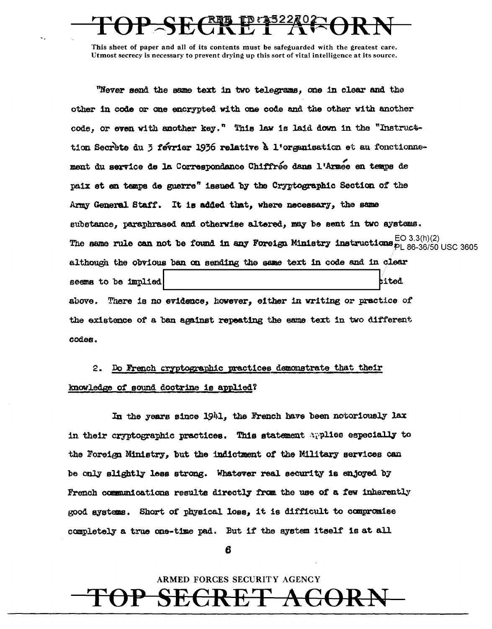"Never send the same text in two telegrams, one in clear and the other in code or one encrypted with one code and the other with another code, or even with another key." This law is laid down in the "Instructtion Secrete du 3 fevrier 1936 relative à l'organisation et au fonctionnement du service de la Correspondance Chiffrée dans l'Armee en temps de paix et en temps de guerre" issued by the Cryptographic Section of the Army General Staff. It is added that, where necessary, the same substance, paraphrased and otherwise altered, may be sent in two systems. The same rule can not be found in any Foreign Ministry instructions  $_{PL}^{EO\ 3.3(h)(2)}$  (Se-36/50 USC 3605) although the obvious ban on sending the same text in code and in clear seems to be implied bited There is no evidence, however, either in writing or practice of above. the existence of a ban against repeating the same text in two different codes.

# Do French cryptographic practices demonstrate that their 2. knowledge of sound doctrine is applied?

In the years since 1941, the French have been notoriously lax in their cryptographic practices. This statement applies especially to the Foreign Ministry, but the indictment of the Military services can be only slightly less strong. Whatever real security is enjoyed by French communications results directly from the use of a few inherently good ayatems. Short of physical loss, it is difficult to compromise completely a true one-time pad. But if the system itself is at all

6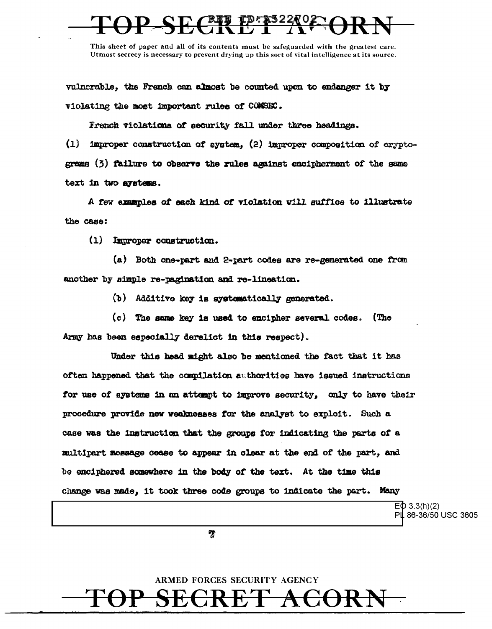# <u>\_kra A</u>

This sheet of paper and all of its contents must be safeguarded with the greatest care. Utmost secrecy is necessary to prevent drying up this sort of vital intelligence at its source.

vulnerable, the French can almost be counted upon to endanger it by violating the most important rules of COMSEC.

French violations of security fall under three headings.

 $(1)$ improper construction of system, (2) improper composition of cryptograms (3) failure to observe the rules against encipherment of the same text in two avstems.

A few examples of each kind of violation will suffice to illustrate the case:

 $(1)$ Improper construction.

(a) Both one-part and 2-part codes are re-generated one from another by simple re-pagination and re-lineation.

(b) Additive key is systematically generated.

(c) The same key is used to encipher several codes. (The Army has been especially derelict in this respect).

Under this head might also be mentioned the fact that it has often happened that the compilation authorities have issued instructions for use of systems in an attempt to improve security, only to have their procedure provide new weaknesses for the analyst to exploit. Such a case was the instruction that the groups for indicating the parts of a multipart message cease to appear in clear at the end of the part, and be enciphered somewhere in the body of the text. At the time this change was made, it took three code groups to indicate the part. Many

 $E\Phi$  3.3(h)(2)

PL 86-36/50 USC 3605

ကွ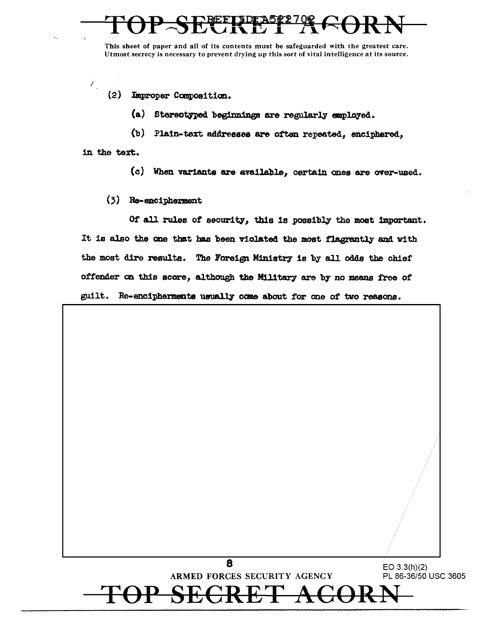$(2)$ Improper Composition.

> $(a)$ Stereotyped beginnings are regularly employed.

(b) Plain-text addresses are often repeated, enciphered,

in the text.

 $\mathcal{L}_{\mathcal{L}}$ 

- $(c)$ When variants are available, certain ones are over-used.
- (3) Re-encipherment

Of all rules of security, this is possibly the most important. It is also the one that has been violated the most flagrantly and with the most dire results. The Foreign Ministry is by all odds the chief offender on this score, although the Military are by no means free of guilt. Re-encipherments usually come about for one of two reasons.

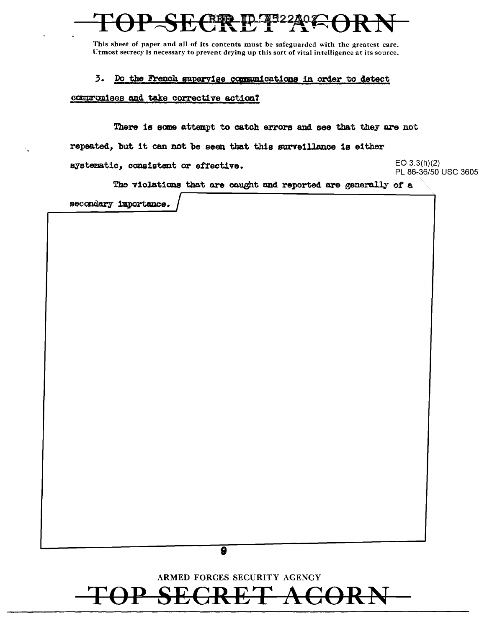### $3.$ Do the French supervise communications in order to detect

compromises and take corrective action?

There is some attempt to catch errors and see that they are not repeated, but it can not be seen that this surveillance is either systematic, consistent or effective.

 $EO.3.3(h)(2)$ PL 86-36/50 USC 3605

The violations that are caught and reported are generally of a

secondary importance.



ARMED FORCES SECURITY AGENCY

## $\bm{\mathcal{A}}$ H, Н,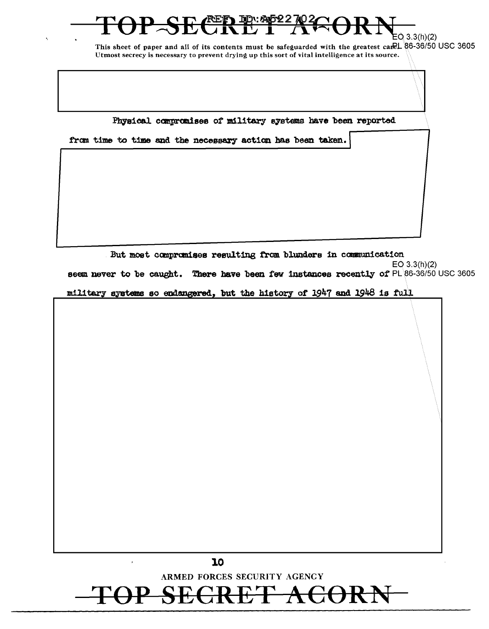# <u>እ: ጭნ22</u><br>|- $EQ$  3.3(h)(2)

This sheet of paper and all of its contents must be safeguarded with the greatest care 26-36/50 USC 3605 Utmost secrecy is necessary to prevent drying up this sort of vital intelligence at its source.

Physical compromises of military systems have been reported

from time to time and the necessary action has been taken.

But most compromises resulting from blunders in communication  $EO$  3.3(h)(2) seem never to be caught. There have been few instances recently of PL 86-36/50 USC 3605

military systems so endangered, but the history of 1947 and 1948 is full



10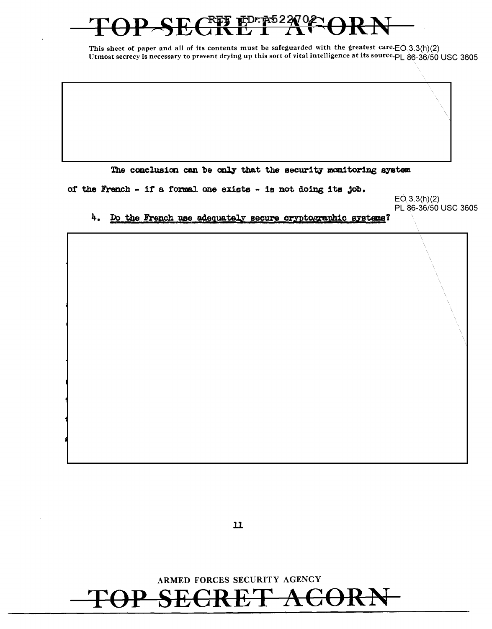# EDRAS22027 <u>T T J</u>

This sheet of paper and all of its contents must be safeguarded with the greatest care. $EO(3.3(h)(2)$ Utmost secrecy is necessary to prevent drying up this sort of vital intelligence at its source. PL 86-36/50 USC 3605

The conclusion can be only that the security monitoring system

of the French - if a formal one exists - is not doing its job.

 $EO(3.3(h)(2)$ PL 86-36/50 USC 3605

4. Do the French use adequately secure cryptographic systems?

 $\mathbf{\mathbf{u}}$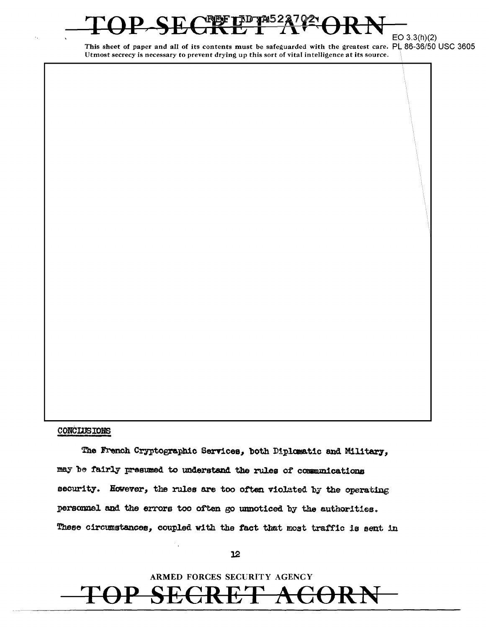# $E$ O 3.3(h)(2)

This sheet of paper and all of its contents must be safeguarded with the greatest care. PL 86-36/50 USC 3605 Utmost secrecy is necessary to prevent drying up this sort of vital intelligence at its source.

## **CONCLUSIONS**

The French Cryptographic Services, both Diplomatic and Military. may be fairly presumed to understand the rules of communications security. However, the rules are too often violated by the operating personnel and the errors too often go unnoticed by the authorities. These circumstances, coupled with the fact that most traffic is sent in

## $12$

ARMED FORCES SECURITY AGENCY

H,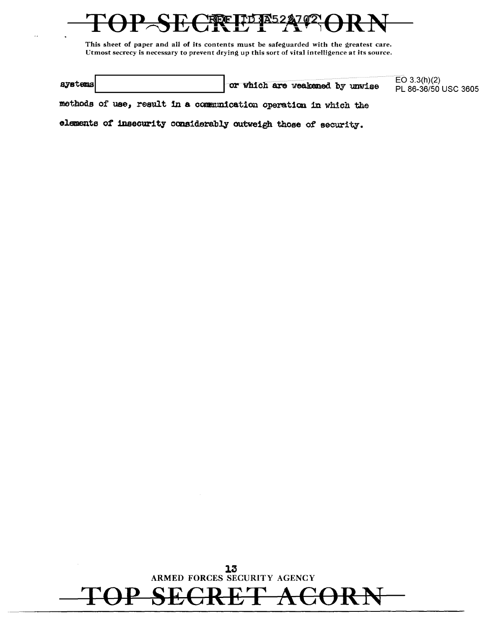|         |                                 | EO $3.3(h)(2)$       |
|---------|---------------------------------|----------------------|
| systems | or which are weakened by unwise | PL 86-36/50 USC 3605 |

methods of use, result in a communication operation in which the

elements of insecurity considerably outweigh those of security.

13<br>ARMED FORCES SECURITY AGENCY

 $\frac{1}{\sqrt{2}}$ 

 ${\bf A}$ G

4

 $\mathbf{f}$ 

H÷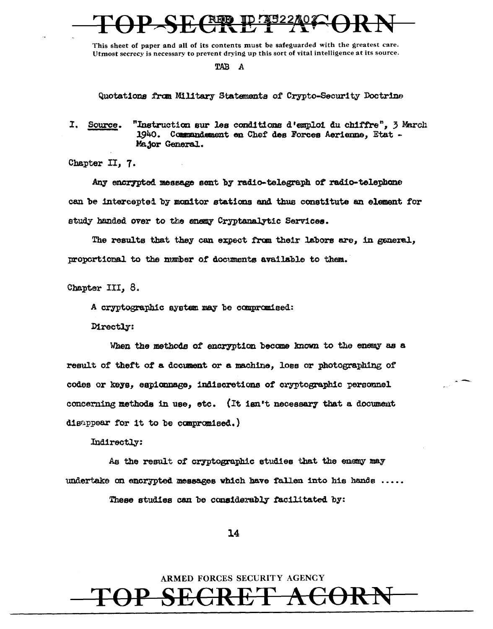TAB A

Quotations from Military Statements of Crypto-Security Doctrine

I. Source. "Instruction sur les conditions d'emploi du chiffre", 3 March 1940. Commandement en Chef des Forces Aerienne, Etat -Major General.

Chapter II, 7.

Any encrypted message sent by radio-telegraph of radio-telephone can be intercepted by monitor stations and thus constitute an element for study handed over to the enemy Cryptanalytic Services.

The results that they can expect from their labors are, in general, proportional to the number of documents available to them.

Chapter III, 8.

A cryptographic system may be compromised:

Directly:

When the methods of encryption become known to the enemy as a result of theft of a document or a machine, loss or photographing of codes or keys, espionnage, indiscretions of cryptographic personnel concerning methods in use, etc. (It isn't necessary that a document disappear for it to be compromised.)

Indirectly:

As the result of cryptographic studies that the enemy may undertake on encrypted messages which have fallen into his hands  $\ldots$ . These studies can be considerably facilitated by:

14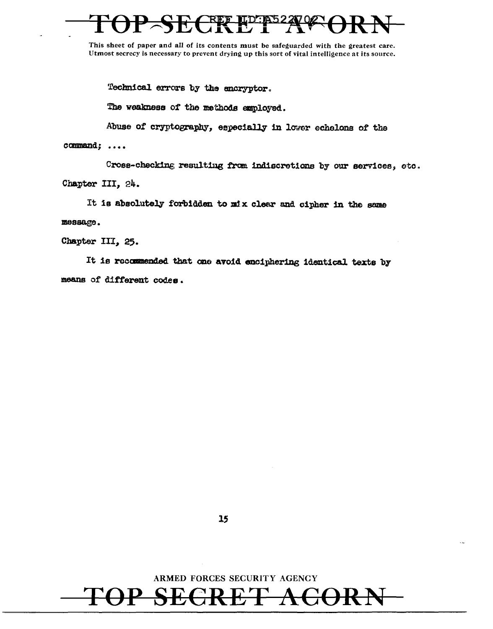Technical errors by the encryptor.

The weakness of the methods employed.

camnand; •••• Abuse of cryptography, especially in lower echelons of the

Cross-checking resulting from indiscretions by our services, etc. Chapter III, 24.

It is absolutely forbidden to mix clear and cipher in the same :message.

Chapter III, 25.

It is recommended that one avoid enciphering identical texts by means of different codes.



TOP SECRET ACORN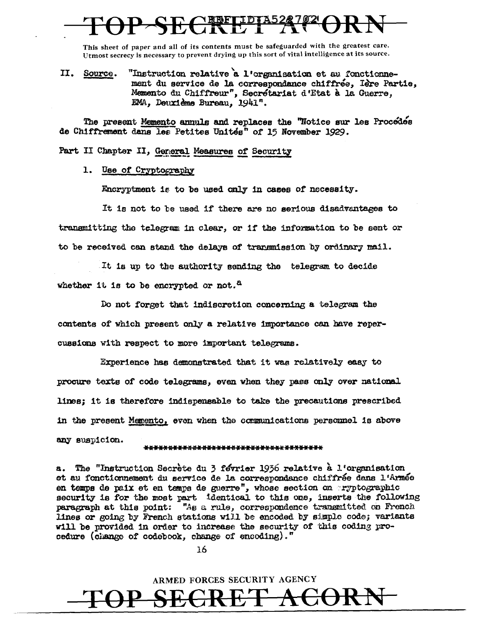$II.$ "Instruction relative a l'organisation et au fonctionne-Source. ment du service de la correspondance chiffrée. Ière Partie. Memento du Chiffreur", Secrétariat d'Etat à la Guerre, EMA, Deuxième Bureau. 1941".

The present Memento annuls and replaces the "Notice sur les Procédés de Chiffrement dans les Petites Unités" of 15 November 1929.

Part II Chapter II, General Measures of Security

1. Use of Cryptography

Encryptment is to be used only in cases of necessity.

It is not to be used if there are no serious disadvantages to transmitting the telegram in clear, or if the information to be sent or to be received can stand the delays of transmission by ordinary mail.

It is up to the authority sending the telegram to decide whether it is to be encrypted or not.<sup>8</sup>

Do not forget that indiscretion concerning a telegram the contents of which present only a relative importance can have repercussions with respect to more important telegrams.

Experience has demonstrated that it was relatively easy to procure texts of code telegrams, even when they pass only over national lines; it is therefore indispensable to take the precautions prescribed in the present Memento, even when the communications personnel is above any suspicion.

## \*\*\*\*\*\*\*\*\*\*\*\*\*\*\*\*\*\*\*\*\*\*\*\*\*\*\*\*\*\*\*\*\*\*\*\*

a. The "Instruction Secrète du 3 février 1936 relative à l'organisation et au fonctionnement du service de la correspondance chiffrée dans l'Armée en temps de paix et en temps de guerre", whose section on aryptographic security is for the most part identical to this one, inserts the following paragraph at this point: "As a rule, correspondence transmitted on French lines or going by French stations will be encoded by simple code; variants will be provided in order to increase the security of this coding procedure (change of codebook, change of encoding)."

16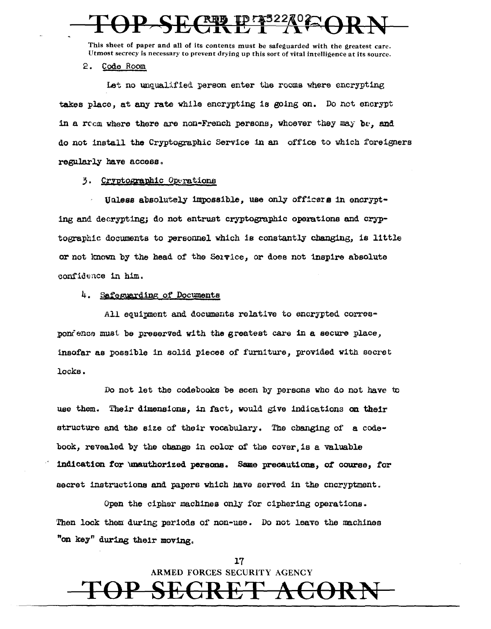# <u>प्रक्रं</u>

This sheet of paper and all of its contents must be safeguarded with the greatest care. Utmost secrecy is necessary to prevent drying up this sort of vital intelligence at its source.

 $2.$ Code Room

Let no unqualified person enter the rooms where encrypting takes place, at any rate while encrypting is going on. Do not encrypt in a room where there are non-French persons, whoever they may be, and do not install the Cryptographic Service in an office to which foreigners regularly have access.

## 3. Cryptographic Operations

Unless absolutely impossible. use only officers in encrypting and decrypting; do not entrust cryptographic operations and cryptographic documents to personnel which is constantly changing, is little or not known by the head of the Service, or does not inspire absolute confidence in him.

## 4. Safeguarding of Documents

All equipment and documents relative to encrypted correspondence must be preserved with the greatest care in a secure place, insofar as possible in solid pieces of furniture. provided with secret locks.

Do not let the codebooks be seen by persons who do not have to use them. Their dimensions, in fact, would give indications on their structure and the size of their vocabulary. The changing of a codebook, revealed by the change in color of the cover is a valuable indication for unauthorized persons. Same precautions, of course, for secret instructions and papers which have served in the cncryptment.

Open the cipher machines only for ciphering operations. Then lock them during periods of non-use. Do not leave the machines "on key" during their moving.

> 17 ARMED FORCES SECURITY AGENCY

 ${\bf E}'$  $\leftrightarrow$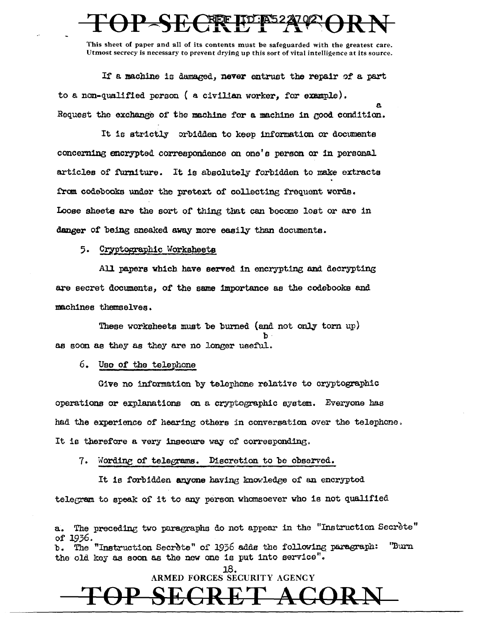If a machine is damaged. never entrust the repair of a part to a non-qualified person ( a civilian worker, for example). Request the exchange of the machine for a machine in good condition.

It is strictly orbidden to keep information or documents concerning encrypted correspondence on one's person or in personal articles of furniture. It is absolutely forbidden to make extracts from codebooks under the pretext of collecting frequent words. Loose sheets are the sort of thing that can become lost or are in danger of being sneaked away more easily than documents.

5. Cryptographic Worksheets

All papers which have served in encrypting and decrypting are secret documents, of the same importance as the codebooks and machines themselves.

These worksheets must be burned (and not only torn up) as soon as they as they are no longer useful.

6. Use of the telephone

Give no information by telephone relative to cryptographic operations or explanations on a cryptographic system. Everyone has had the experience of hearing others in convergation over the telephone. It is therefore a very insecure way of corresponding.

7. Wording of telegrams. Discretion to be observed.

It is forbidden anyone having knowledge of an encrypted telegram to speak of it to any person whomsoever who is not qualified

The preceding two paragraphs do not appear in the "Instruction Secrète" of 1936. The "Instruction Secrete" of 1936 adds the following paragraph: ''Burn the old key as soon as the new one is put into service". 18.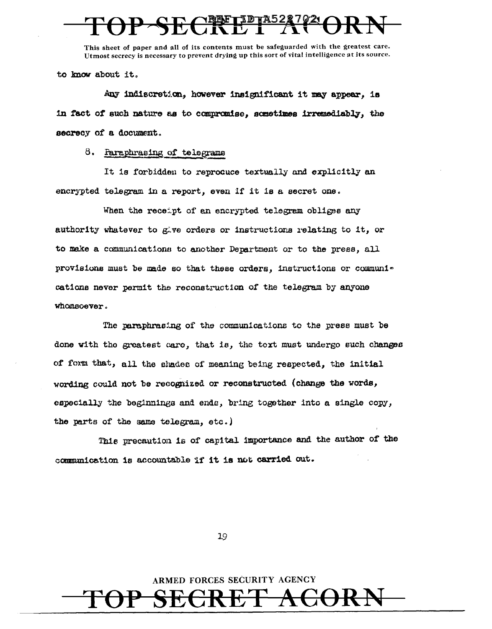to know about it.

Any indiscretion, however insignificant it may appear, is in fact of such nature as to compromise, sometimes irremediably, the secrecy of a document.

8. Paraphrasing of telegrams

It is forbidden to reprocuce textually and explicitly an encrypted telegram in a report, even if it is a secret one.

When the receipt of an encrypted telegram obliges any authority whatever to give orders or instructions relating to it, or to make a communicationn to another Department or to the press, all provisions must be made eo that these orders, instructions or communi~ cations never permit the reconstruction of the telegram by anyone whomsoever.

The paraphrasing of the communications to the press must be done with the greatest care, that is, the text must undergo such changes of form that, all the shades of meaning being respected, the initial wording could not be recognized or reconstructed (change the words, especially the beginnings and ends, bring together into a single copy, the parts of the same te1egram, etc.)

Th1e precaution is *or* capital. importance and the author *or* the communication is accountable if it is not carried out.

19

ARMED FORCES SECURITY AGENCY TOP SECRET ACORN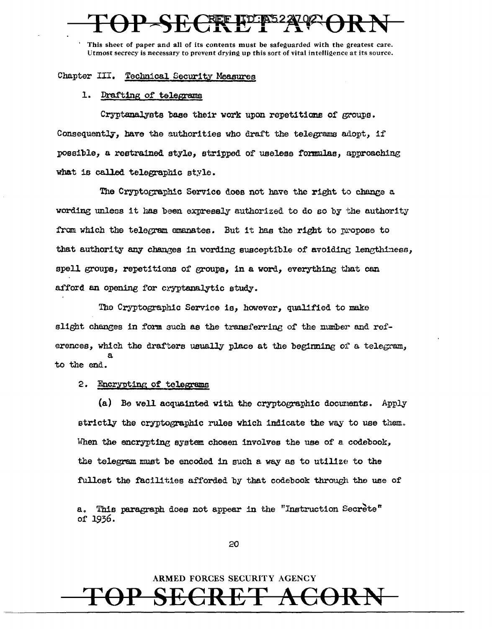# Chapter III. Technical Security Measures

## 1. Drafting of telegrams

Cryptanalysts base their work upon repetitions of groups. Consequently, have the authorities who draft the telegrams adopt, if possible, a restrained style, stripped of useless formulas, approaching what is called telegraphic style.

The Cryptographic Service does not have the right to change a wording unless it has been expressly authorized to do so by the authority from which the telegram emanates. But it has the right to propose to that authority any changes in wording susceptible of avoiding lengthiness, spell groups, repetitions of groups, in a word, everything that can afford an opening for cryptanalytic study.

The Cryptographic Service is, however, qualified to make slight changes in form such as the transferring of the number and references, which the drafters usually place at the beginning of a telegram, to the end.

## 2. Encrypting of telegrams

(a) Be well acquainted with the cryptographic documents. Apply strictly the cryptographic rules which indicate the way to use them. When the encrypting system chosen involves the use of a codebook, the telegram must be encoded in such a way as to utilize to the fullest the facilities afforded by that codebook through the use of

This paragraph does not appear in the "Instruction Secrete" a. of 1936.

20

# ARMED FORCES SECURITY AGENCY

╋╧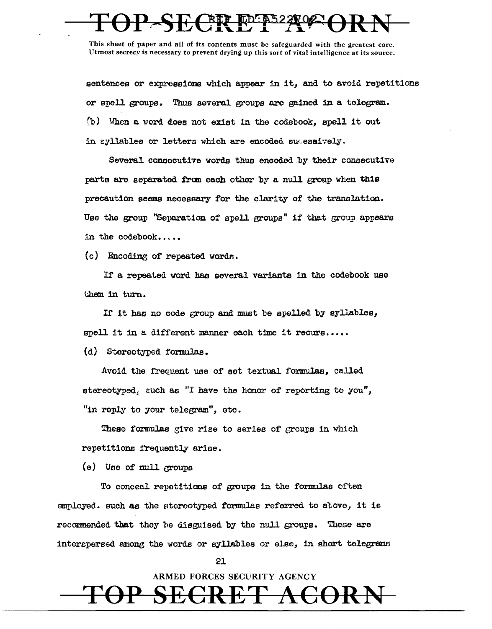sentences or expressions which appear in it, and to avoid repetitions or spell groups. Thuo several groups are gained in a telegram. (b) When a word does not exist in the codebook, spell it out in syllables or letters which are encoded sucessively.

Several consecutive words thus encoded by their consecutive parts are separated from each other by a null group when this precaution seems necessary for the clarity of the translation. Use the group "Separation of spell groups" if that group appears in the codebook.....

 $(c)$  Encoding of repeated words.

If a repeated word has several variants in the codebook use them in turn.

If it has no code group and must be spelled by syllables, spell it in a different manner each time it recurs .....

 $(d)$  Stereotyped formulas.

Avoid the frequent use of set textual formulas, called stereotyped, such as "I have the honor of reporting to you", "in reply to your telegram", etc.

These formulas give rise to series of groups in which repetitions frequently arioe.

(e) Use of null croups

To conceal repetitions of groups in the formulas often employed. such as the storcotyped formulas referred to atove, it is recommended that they be disguised by the null groups. These are interspersed among the words or syllables or else, in short telegrams

21

ARMED FORCES SECURITY AGENCY TOP SECRET ACORN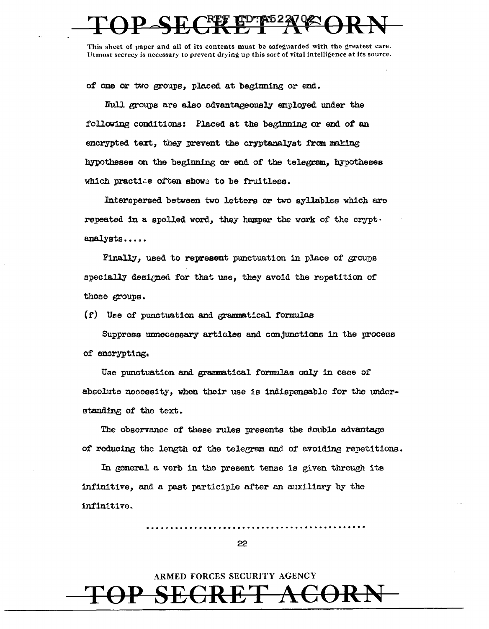of one or two groups. placed at beginning or end.

Null groups are also advantageously employed under the following conditions: Placed at the beginning or end of an encrypted text, they prevent the cryptanalyst from making hypotheses on the beginning or end of the telegram, hypotheses which practice often shows to be fruitless.

Interspersed between two letters or two syllables which are repeated in a spelled word, they hamper the work of the cryptanalysts.....

Finally, used to represent punctuation in place of groups specially designed for that use, they avoid the repetition of those groups.

 $(f)$  Use of punctuation and grammatical formulas

Suppress unnecessary articles and conjunctions in the process of encrypting.

Use punctuation and grammatical formulas only in case of absolute necessity, when their use is indispensable for the understanding of the text.

The observance of these rules presents the double advantage of reducing the length of the telegram and of avoiding repetitions.

In general a verb in the present tense is given through its infinitive, and a past participle after an auxiliary by the infinitive.

22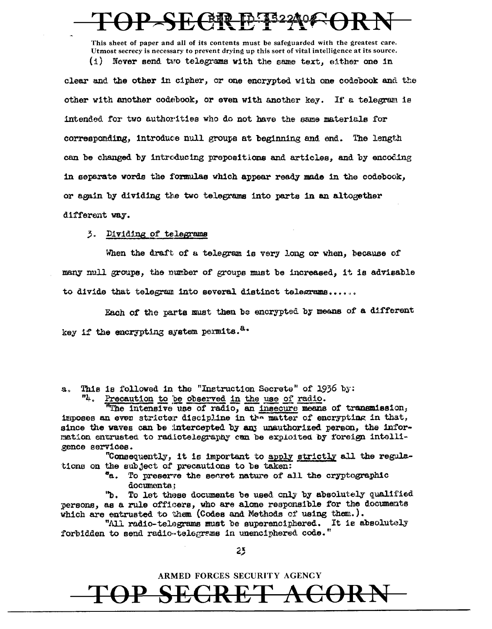# **HE CEAR**

This sheet of paper and all of its contents must be safeguarded with the greatest care. Utmost secrecy is necessary to prevent drying up this sort of vital intelligence at its source. (i) Never send two telegrams with the same text, either one 1n

clear and the other in cipher, or one encrypted with one codebook and. the other with another codebook, or even with another key. If a telegram is intended for two authorities who do not have the same materials for corresponding, introduce null groups at beginning and end. The length can be changed by introducing prepositions and articles, and by encoding 1n separate words the formulas which appear ready made 1n the codebook, or again by dividing the two telegrams into parts in an altogether different way.

## 3. Dividing of telegrams

When the draft of a telegram is very long or when, because of many null groups, the number of groups must be increased, it ie advisable to divide that telegram into several distinct telegrams......

Each of the parts must then be encrypted by means of a different key if the encrypting system permits.<sup>8.</sup>

a. This is followed in the "Instruction Secrete" of 1936 by:

"4. Precaution to be observed in the use of radio.

"The intensive use of radio, an insecure means of transmission, imposes an even stricter discipline in the matter of encrypting in that, since the waves can be intercepted by any unauthorized person, the informetion entrusted to radiotelegraphy can be exploited by foreign intelligence services.

"Consequently, it is important to apply strictly all the regulations on the subject of precautions to be taken:

> "a. To preserve the secret nature of all the cryptographic documents;

''b. To let thaee documents be used cnly by absolutely qualified persons, as a rule officers, who are alone responsible for the documents which are entrusted to them (Codes and Methods of using them.).

"All radio-telegrams must be superenciphered. It is absolutely forbidden to send radio telegrams in unenciphered code."

 $25$ 

ARMED FORCES SECURITY AGENCY

TOP SEGRET ACORN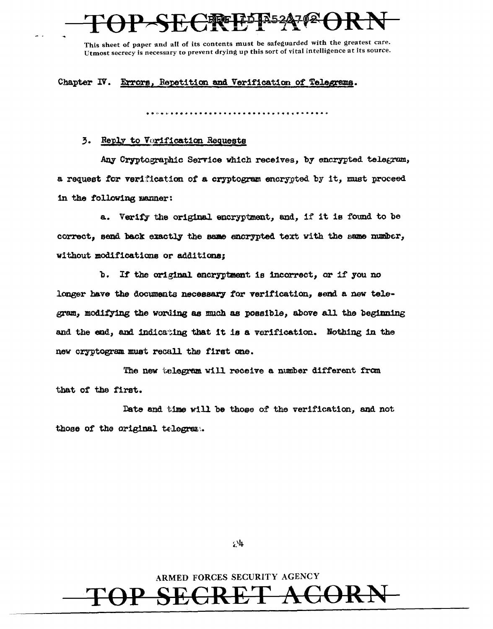Chapter IV. Errors, Repetition and Verification of Telegrams.

# 3. Reply to Verification Requests

Any Cryptographic Service which receives, by encrypted telegram, a request for verification of a cryptogram encrypted by it, must proceed in the following manner:

a. Verify the original encryptment, and, if it is found to be correct, send back exactly the same encrypted text with the same number, without modifications or additions;

b. If the original encryptment is incorrect, or if you no longer have the documents necessary for verification, send a new telegram, modifying the wording as much as possible, above all the beginning and the end, and indicating that it is a verification. Nothing in the new cryptogram must recall the first one.

The new telegram will receive a number different from that of the first.

Date and time will be those of the verification, and not those of the original telegram.

 $24$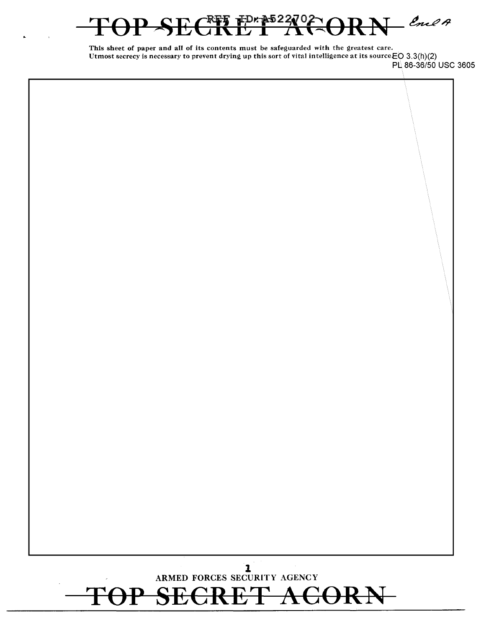# $E^{D \kappa}$   $\frac{3522}{1}$  $L$  Enel A

This sheet of paper and all of its contents must be safeguarded with the greatest care. Utmost secrecy is necessary to prevent drying up this sort of vital intelligence at its source EO 3.3(h)(2)

PL 86-36/50 USC 3605

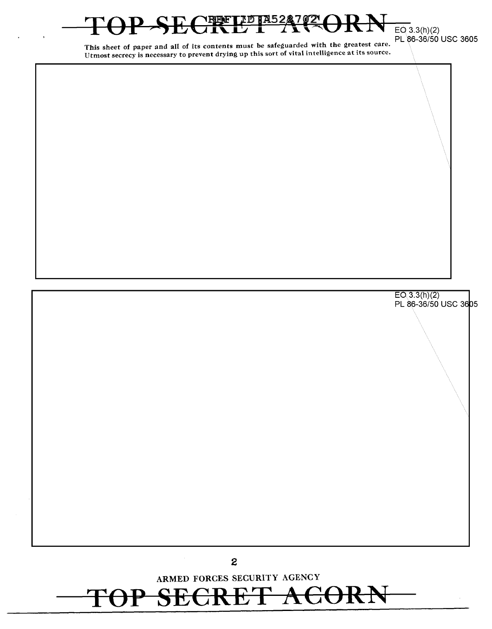

**SECRET ACOR** 

 $C^{\text{RPF}}$ LD  $\mathbb{R}^{52}$ 2 $^{\text{2}}$  $\Theta$ RN  $_{\text{\tiny{EO}}$ 3.3(h)(2) PL 86-36/50 USC 3605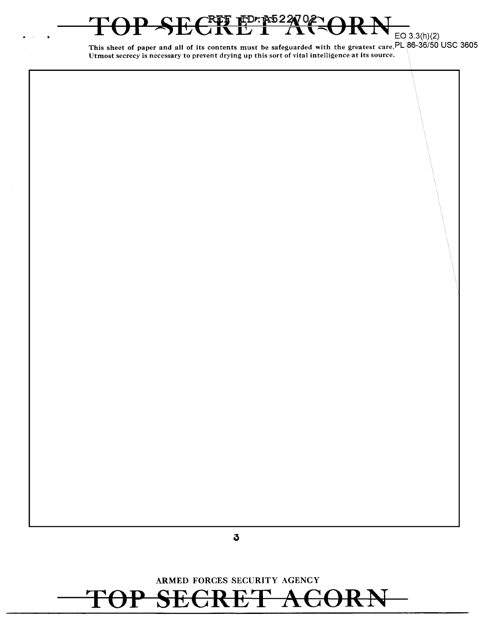# **E CREE EDE AS 22 22 02 CORN** EQ 3.3(h)(2)

 $\ddot{\phantom{a}}$ 

This sheet of paper and all of its contents must be safeguarded with the greatest care.  $PL\$ 86-36/50 USC 3605 Utmost secrecy is necessary to prevent drying up this sort of vital intelligence at its source.

# **ARMED** FORCES SECURITY AGENCY TOP SECRET ACORN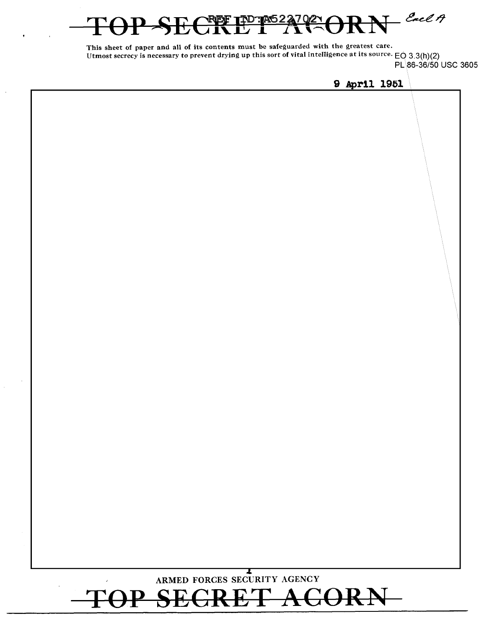# $=$  Each A pA52

This sheet of paper and all of its contents must be safeguarded with the greatest care. Utmost secrecy is necessary to prevent drying up this sort of vital intelligence at its source.  $EQ$  3.3(h)(2) PL\86-36/50 USC 3605

**9 April 1951** 

| TOP SECRET ACORN | ARMED FORCES SECURITY AGENCY |  |
|------------------|------------------------------|--|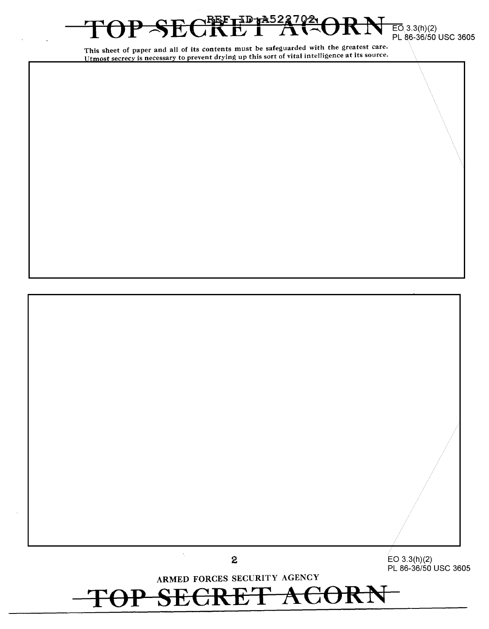# $-$ **SECRUTADIADIZA (VZLORNEO 3.3(h)(2)** PL 86-36/50 USC 3605

This sheet of paper and all of its contents must be safeguarded with the greatest care. The secrecy is necessary to prevent drying up this sort of vital intelligence at its source.

// *//*   $\lambda_{\rm c}$ **2** EO 3.3(h)(2) PL 86-36/50 USC 3605 ARMED FORCES SECURITY AGENCY

**SECRET AC** 

 $\|\setminus\|$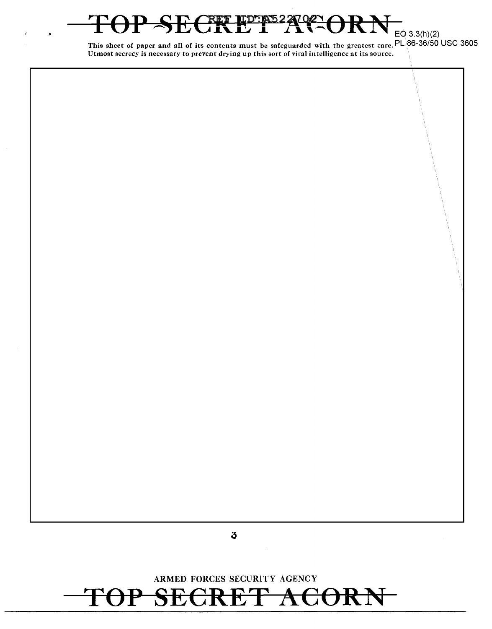## ARMED FORCES SECURITY AGENCY <del>CRET ACORI</del>  $\mathsf{P}$  $\mathbf{S}$ 七

 $\sqrt[0]{2}$ 

EQ 3.3(h)(2)

CRET I

TOTAS22

Utmost secrecy is necessary to prevent drying up this sort of vital intelligence at its source.

This sheet of paper and all of its contents must be safeguarded with the greatest care.  $PL$  86-36/50 USC 3605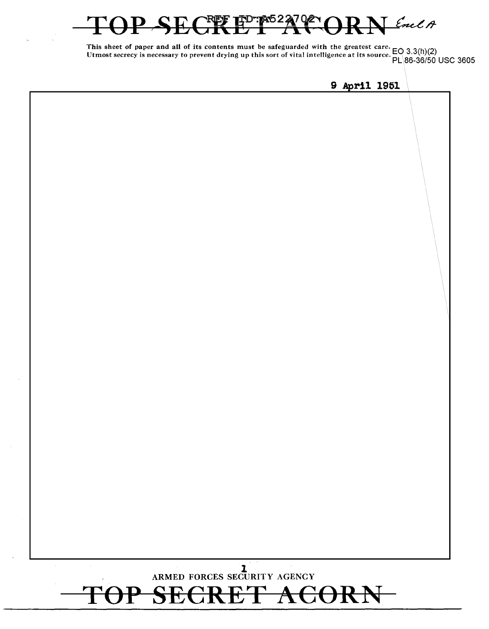### FD:PS227  $702 -$ Enel A 꿕<br>그

This sheet of paper and all of its contents must be safeguarded with the greatest care. Utmost secrecy is necessary to prevent drying up this sort of vital intelligence at its source. EO 3.3(h)(2) PL\86-36/50 USC 3605

**9 April 1951** 

# **l**  ARMED FORCES SECURITY AGENCY TOP SECRET ACORN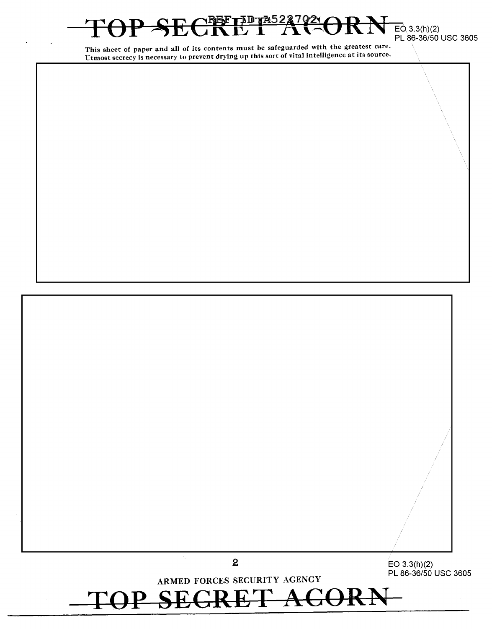# **fid** *y* **4522**  $\overline{EO}$  3.3(h)(2)<br>PL 86-36/50 USC 3605

This sheet of paper and all of its contents must be safeguarded with the greatest care. Utmost secrecy is necessary to prevent drying up this sort of vital intelligence at its source.

 $\hat{\mathcal{A}}_1$ **2** EO 3.3(h)(2) PL 86-36/50 USC 3605 ARMED FORCES SECURITY AGENCY  $\text{TOP}$  SEGRET ACORN-